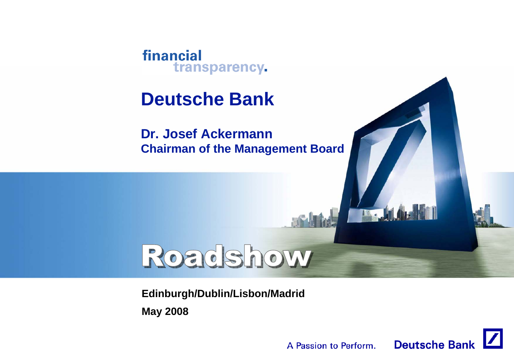

## **Deutsche Bank**

**Dr. Josef AckermannChairman of the Management Board**

# Roadshow

**Edinburgh/Dublin/Lisbon/Madrid May 2008**



**The Juli**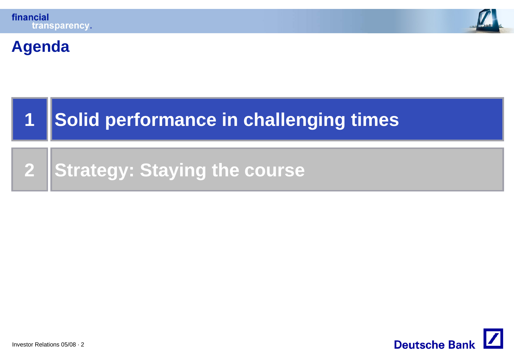



### **Agenda**

#### **1Solid performance in challenging times**

**2Strategy: Staying the course**

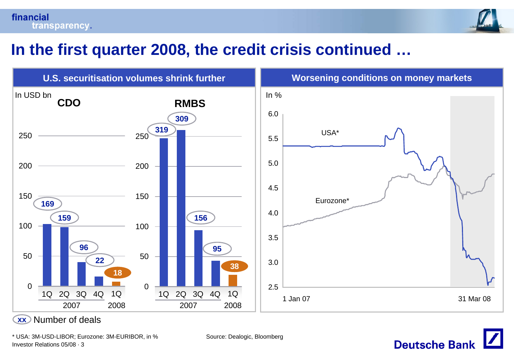



### **In the first quarter 2008, the credit crisis continued …**



**xxx**) Number of deals

Investor Relations 05/08 · 3 \* USA: 3M-USD-LIBOR; Eurozone: 3M-EURIBOR, in % Source: Dealogic, Bloomberg

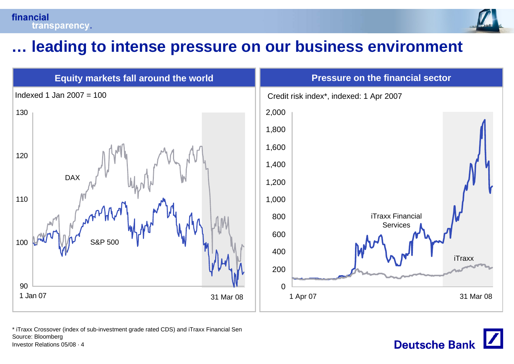



**Deutsche Bank** 

### **… leading to intense pressure on our business environment**



\* iTraxx Crossover (index of sub-investment grade rated CDS) and iTraxx Financial Sen Source: Bloomberg

Investor Relations 05/08 · 4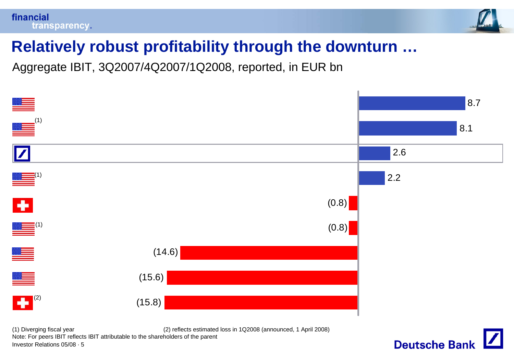



## **Relatively robust profitability through the downturn …**

Aggregate IBIT, 3Q2007/4Q2007/1Q2008, reported, in EUR bn



Investor Relations 05/08 · 5 (1) Diverging fiscal year (2) reflects estimated loss in 1Q2008 (announced, 1 April 2008) Note: For peers IBIT reflects IBIT attributable to the shareholders of the parent

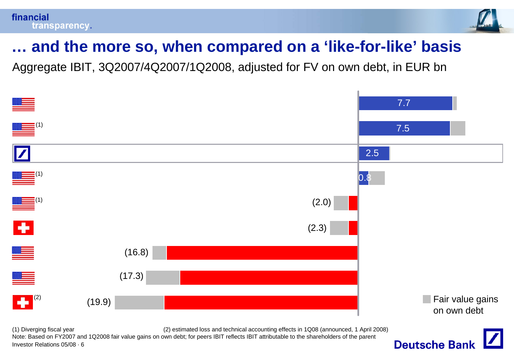

## **… and the more so, when compared on a 'like-for-like' basis**

Aggregate IBIT, 3Q2007/4Q2007/1Q2008, adjusted for FV on own debt, in EUR bn



Investor Relations 05/08 · 6 (1) Diverging fiscal year (2) estimated loss and technical accounting effects in 1Q08 (announced, 1 April 2008) Note: Based on FY2007 and 1Q2008 fair value gains on own debt; for peers IBIT reflects IBIT attributable to the shareholders of the parent

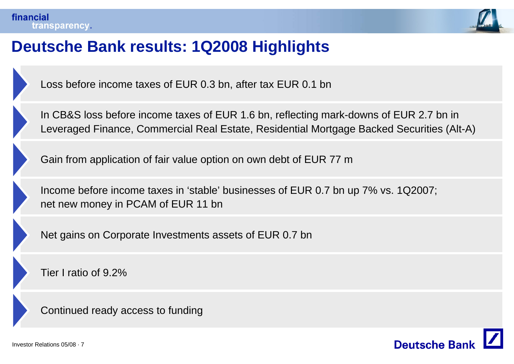

### **Deutsche Bank results: 1Q2008 Highlights**

Loss before income taxes of EUR 0.3 bn, after tax EUR 0.1 bn

In CB&S loss before income taxes of EUR 1.6 bn, reflecting mark-downs of EUR 2.7 bn in Leveraged Finance, Commercial Real Estate, Residential Mortgage Backed Securities (Alt-A)

Gain from application of fair value option on own debt of EUR 77 <sup>m</sup>

Income before income taxes in 'stable' businesses of EUR 0.7 bn up 7% vs. 1Q2007; net new money in PCAM of EUR 11 bn

Net gains on Corporate Investments assets of EUR 0.7 bn

Tier I ratio of 9.2%

Continued ready access to funding

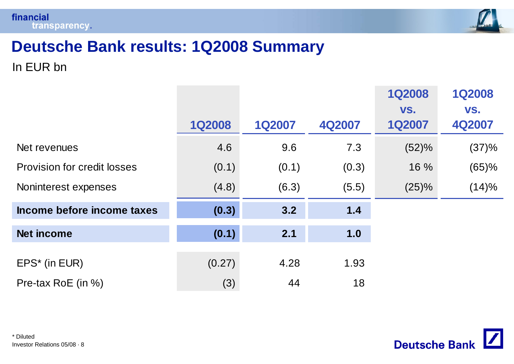



## **Deutsche Bank results: 1Q2008 Summary**

In EUR bn

|                                    |               |               |        | <b>1Q2008</b>        | <b>1Q2008</b> |
|------------------------------------|---------------|---------------|--------|----------------------|---------------|
|                                    | <b>1Q2008</b> | <b>1Q2007</b> | 4Q2007 | VS.<br><b>1Q2007</b> | VS.<br>4Q2007 |
| Net revenues                       | 4.6           | 9.6           | 7.3    | (52)%                | (37)%         |
| <b>Provision for credit losses</b> | (0.1)         | (0.1)         | (0.3)  | 16 %                 | (65)%         |
| Noninterest expenses               | (4.8)         | (6.3)         | (5.5)  | (25)%                | (14)%         |
| Income before income taxes         | (0.3)         | 3.2           | $1.4$  |                      |               |
| <b>Net income</b>                  | (0.1)         | 2.1           | 1.0    |                      |               |
| $EPS^*$ (in EUR)                   | (0.27)        | 4.28          | 1.93   |                      |               |
| Pre-tax RoE (in %)                 | (3)           | 44            | 18     |                      |               |

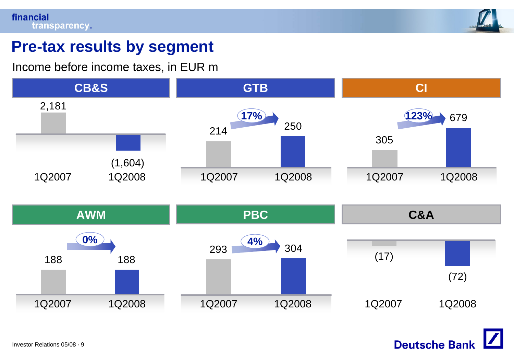

### **Pre-tax results by segment**

Income before income taxes, in EUR m



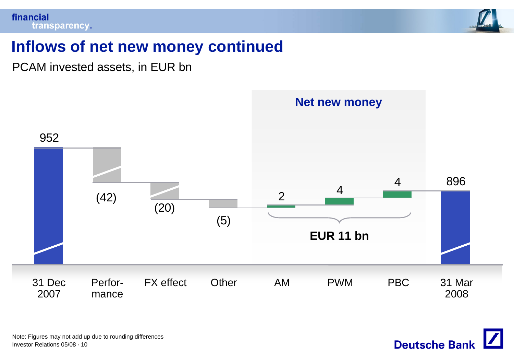

### **Inflows of net new money continued**

PCAM invested assets, in EUR bn



Investor Relations 05/08 · 10 Note: Figures may not add up due to rounding differences

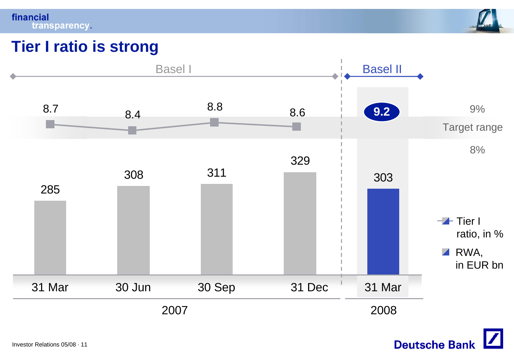financial transparency.



### **Tier I ratio is strong**



**Deutsche Bank**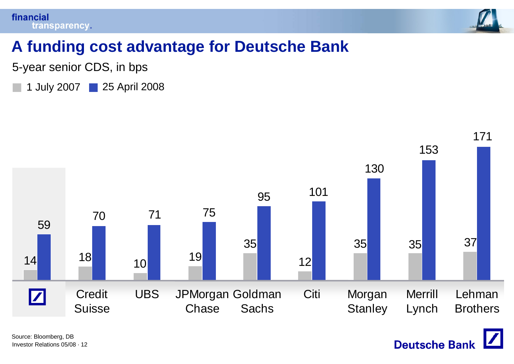



**Deutsche Bank** 

### **A funding cost advantage for Deutsche Bank**

5-year senior CDS, in bps

1 July 2007 25 April 2008

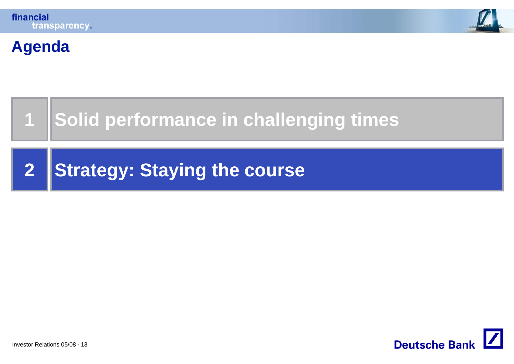

### **Agenda**

**1**

## **Solid performance in challenging times**

**2Strategy: Staying the course**

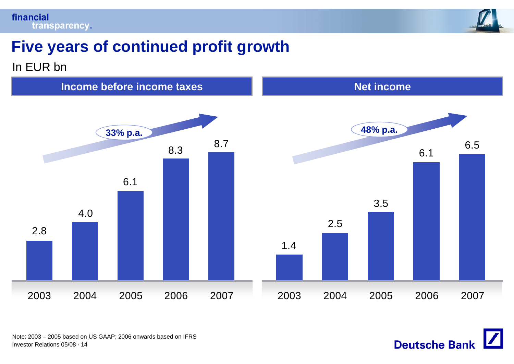



**Deutsche Bank** 

### **Five years of continued profit growth**

### In EUR bn

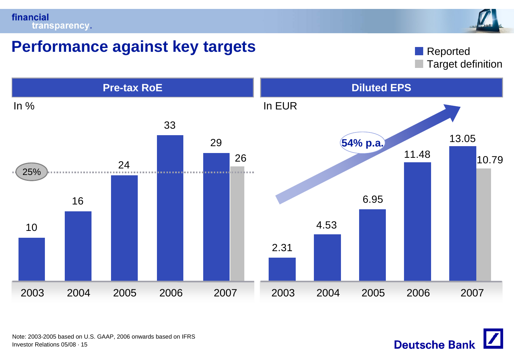

### **Performance against key targets**

Target definition Reported



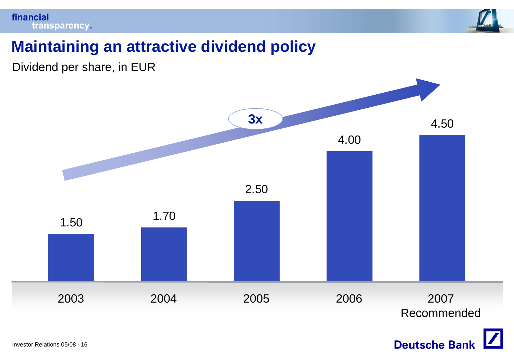

### **Maintaining an attractive dividend policy**

Dividend per share, in EUR



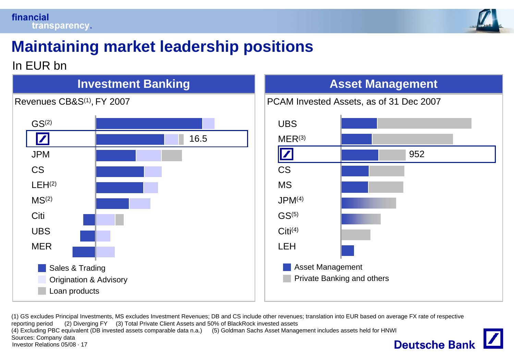

## **Maintaining market leadership positions**

In EUR bn



### **Asset Management**



(1) GS excludes Principal Investments, MS excludes Investment Revenues; DB and CS include other revenues; translation into EUR based on average FX rate of respective reporting period (2) Diverging FY (3) Total Private Client Assets and 50% of BlackRock invested assets (4) Excluding PBC equivalent (DB invested assets comparable data n.a.) (5) Goldman Sachs Asset Management includes assets held for HNWI Sources: Company data **Deutsche Bank** Investor Relations 05/08 · 17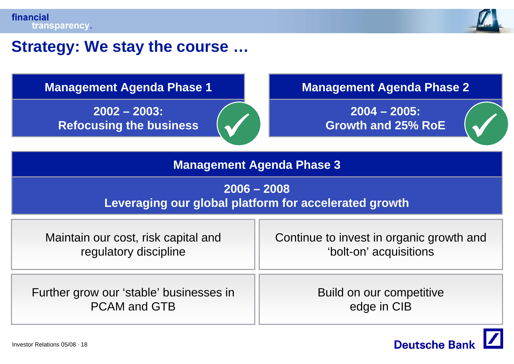

### **Strategy: We stay the course …**

**2002 – 2003: Refocusing the business**

PCAM and GTB

**Management Agenda Phase 1 Management Agenda Phase 2**

**2004 – 2005: Growth and 25% RoE**  $\bigvee$   $\bigcup$  Growth and 25% RoE  $\bigvee$ 

### **Management Agenda Phase 3**

 $\checkmark$ 

### **2006 – 2008**

### **Leveraging our global platform for accelerated growth**

| Maintain our cost, risk capital and     | Continue to invest in organic growth and |  |
|-----------------------------------------|------------------------------------------|--|
| regulatory discipline                   | 'bolt-on' acquisitions                   |  |
| Further grow our 'stable' businesses in | Build on our competitive                 |  |

edge in CIB

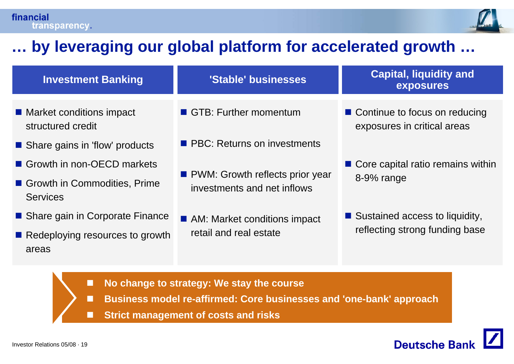

### **… by leveraging our global platform for accelerated growth …**

| <b>Investment Banking</b>                       | 'Stable' businesses                                              | <b>Capital, liquidity and</b><br>exposures                     |  |
|-------------------------------------------------|------------------------------------------------------------------|----------------------------------------------------------------|--|
| ■ Market conditions impact<br>structured credit | GTB: Further momentum                                            | ■ Continue to focus on reducing<br>exposures in critical areas |  |
| Share gains in 'flow' products                  | <b>PBC:</b> Returns on investments                               |                                                                |  |
| Growth in non-OECD markets                      |                                                                  | ■ Core capital ratio remains within                            |  |
| Growth in Commodities, Prime<br><b>Services</b> | • PWM: Growth reflects prior year<br>investments and net inflows | 8-9% range                                                     |  |
| ■ Share gain in Corporate Finance               | AM: Market conditions impact                                     | ■ Sustained access to liquidity,                               |  |
| Redeploying resources to growth<br>areas        | retail and real estate                                           | reflecting strong funding base                                 |  |

- n **No change to strategy: We stay the course**
- П **Business model re-affirmed: Core businesses and 'one-bank' approach**
- П **Strict management of costs and risks**

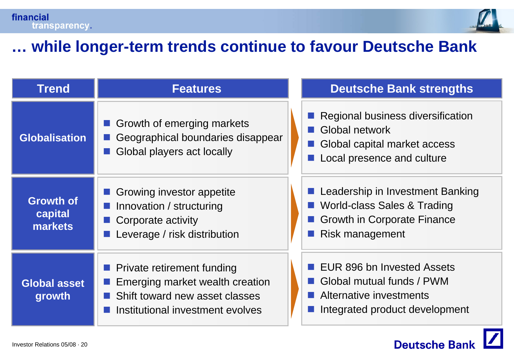

### **… while longer-term trends continue to favour Deutsche Bank**

| <b>Trend</b>                           | <b>Features</b>                                                                                                                            | <b>Deutsche Bank strengths</b>                                                                                           |
|----------------------------------------|--------------------------------------------------------------------------------------------------------------------------------------------|--------------------------------------------------------------------------------------------------------------------------|
| <b>Globalisation</b>                   | Growth of emerging markets<br>Geographical boundaries disappear<br>Global players act locally                                              | Regional business diversification<br>Global network<br>Global capital market access<br>Local presence and culture        |
| <b>Growth of</b><br>capital<br>markets | Growing investor appetite<br>Innovation / structuring<br>Corporate activity<br>Leverage / risk distribution                                | Leadership in Investment Banking<br>World-class Sales & Trading<br><b>Growth in Corporate Finance</b><br>Risk management |
| <b>Global asset</b><br>growth          | <b>Private retirement funding</b><br>Emerging market wealth creation<br>Shift toward new asset classes<br>Institutional investment evolves | EUR 896 bn Invested Assets<br>Global mutual funds / PWM<br>Alternative investments<br>Integrated product development     |